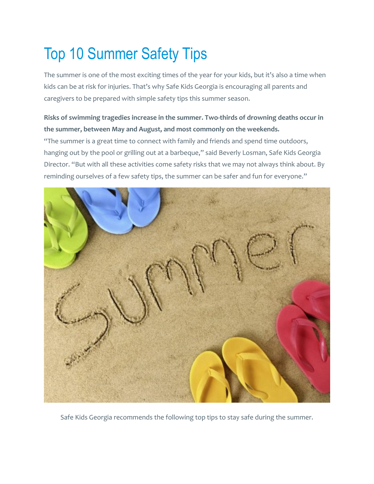## Top 10 Summer Safety Tips

The summer is one of the most exciting times of the year for your kids, but it's also a time when kids can be at risk for injuries. That's why Safe Kids Georgia is encouraging all parents and caregivers to be prepared with simple safety tips this summer season.

## **Risks of swimming tragedies increase in the summer. Two-thirds of drowning deaths occur in the summer, between May and August, and most commonly on the weekends.**

"The summer is a great time to connect with family and friends and spend time outdoors, hanging out by the pool or grilling out at a barbeque," said Beverly Losman, Safe Kids Georgia Director. "But with all these activities come safety risks that we may not always think about. By reminding ourselves of a few safety tips, the summer can be safer and fun for everyone."



Safe Kids Georgia recommends the following top tips to stay safe during the summer.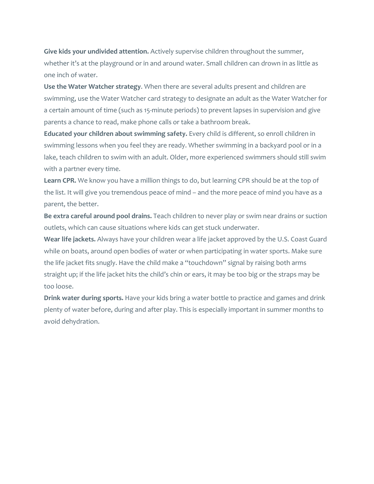**Give kids your undivided attention.** Actively supervise children throughout the summer, whether it's at the playground or in and around water. Small children can drown in as little as one inch of water.

**Use the Water Watcher strategy**. When there are several adults present and children are swimming, use the Water Watcher card strategy to designate an adult as the Water Watcher for a certain amount of time (such as 15-minute periods) to prevent lapses in supervision and give parents a chance to read, make phone calls or take a bathroom break.

**Educated your children about swimming safety.** Every child is different, so enroll children in swimming lessons when you feel they are ready. Whether swimming in a backyard pool or in a lake, teach children to swim with an adult. Older, more experienced swimmers should still swim with a partner every time.

**Learn CPR.** We know you have a million things to do, but learning CPR should be at the top of the list. It will give you tremendous peace of mind – and the more peace of mind you have as a parent, the better.

**Be extra careful around pool drains.** Teach children to never play or swim near drains or suction outlets, which can cause situations where kids can get stuck underwater.

**Wear life jackets.** Always have your children wear a life jacket approved by the U.S. Coast Guard while on boats, around open bodies of water or when participating in water sports. Make sure the life jacket fits snugly. Have the child make a "touchdown" signal by raising both arms straight up; if the life jacket hits the child's chin or ears, it may be too big or the straps may be too loose.

**Drink water during sports.** Have your kids bring a water bottle to practice and games and drink plenty of water before, during and after play. This is especially important in summer months to avoid dehydration.